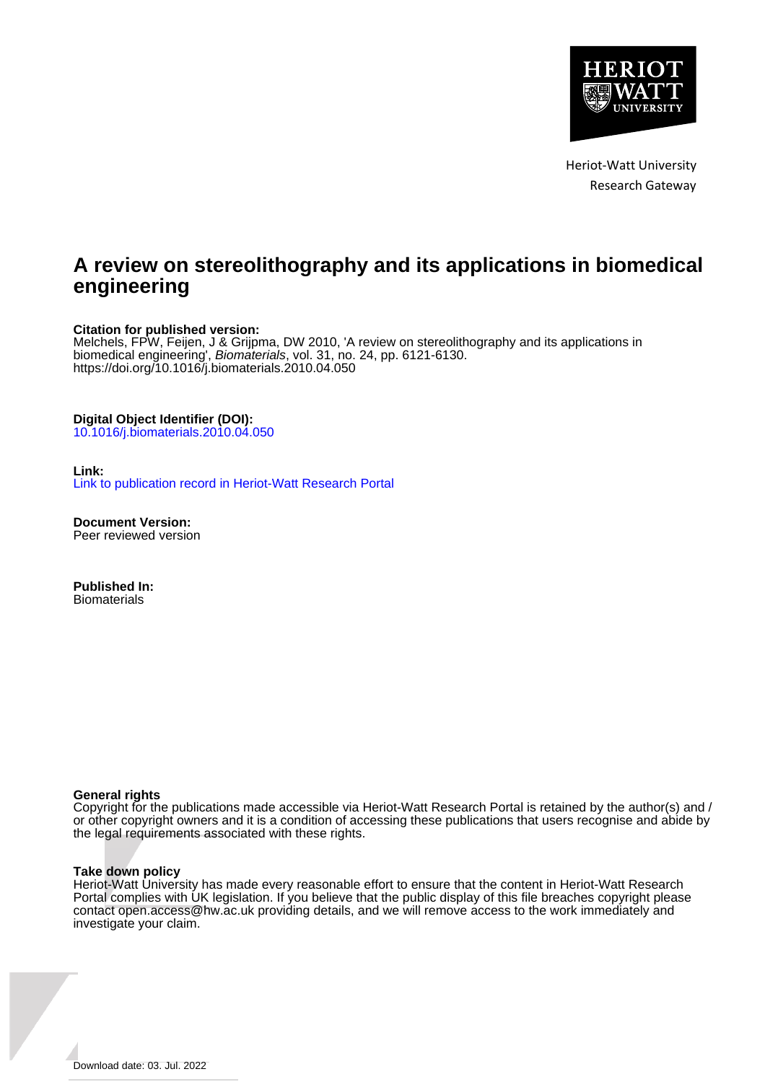

Heriot-Watt University Research Gateway

## **A review on stereolithography and its applications in biomedical engineering**

#### **Citation for published version:**

Melchels, FPW, Feijen, J & Grijpma, DW 2010, 'A review on stereolithography and its applications in biomedical engineering', Biomaterials, vol. 31, no. 24, pp. 6121-6130. <https://doi.org/10.1016/j.biomaterials.2010.04.050>

#### **Digital Object Identifier (DOI):**

[10.1016/j.biomaterials.2010.04.050](https://doi.org/10.1016/j.biomaterials.2010.04.050)

#### **Link:**

[Link to publication record in Heriot-Watt Research Portal](https://researchportal.hw.ac.uk/en/publications/99ac5abd-306d-48ae-8819-7de843adac16)

**Document Version:** Peer reviewed version

**Published In: Biomaterials** 

#### **General rights**

Copyright for the publications made accessible via Heriot-Watt Research Portal is retained by the author(s) and / or other copyright owners and it is a condition of accessing these publications that users recognise and abide by the legal requirements associated with these rights.

#### **Take down policy**

Heriot-Watt University has made every reasonable effort to ensure that the content in Heriot-Watt Research Portal complies with UK legislation. If you believe that the public display of this file breaches copyright please contact open.access@hw.ac.uk providing details, and we will remove access to the work immediately and investigate your claim.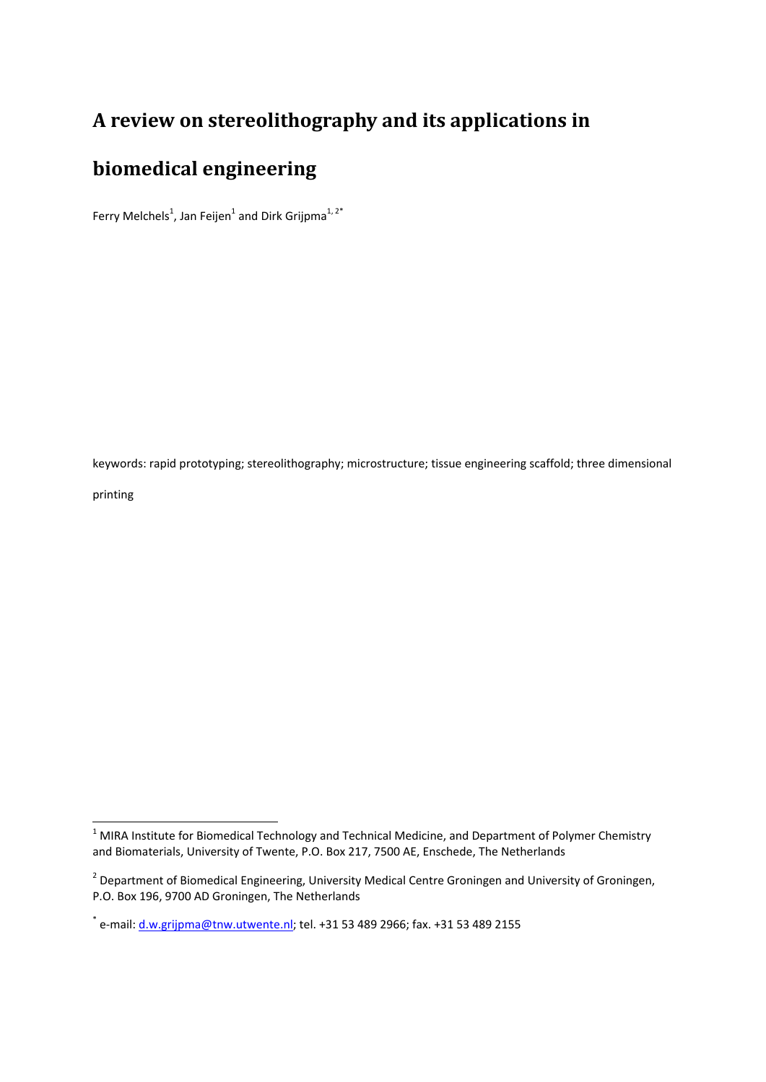# **A review on stereolithography and its applications in**

# **biomedical engineering**

Ferry Melchels<sup>1</sup>, Jan Feijen<sup>1</sup> and Dirk Grijpma<sup>1, 2\*</sup>

keywords: rapid prototyping; stereolithography; microstructure; tissue engineering scaffold; three dimensional

printing

<u> Andrew Maria (1989)</u>

 $1$  MIRA Institute for Biomedical Technology and Technical Medicine, and Department of Polymer Chemistry and Biomaterials, University of Twente, P.O. Box 217, 7500 AE, Enschede, The Netherlands

<sup>&</sup>lt;sup>2</sup> Department of Biomedical Engineering, University Medical Centre Groningen and University of Groningen, P.O. Box 196, 9700 AD Groningen, The Netherlands

 $*$  e-mail: d.w.grijpma@tnw.utwente.nl; tel. +31 53 489 2966; fax. +31 53 489 2155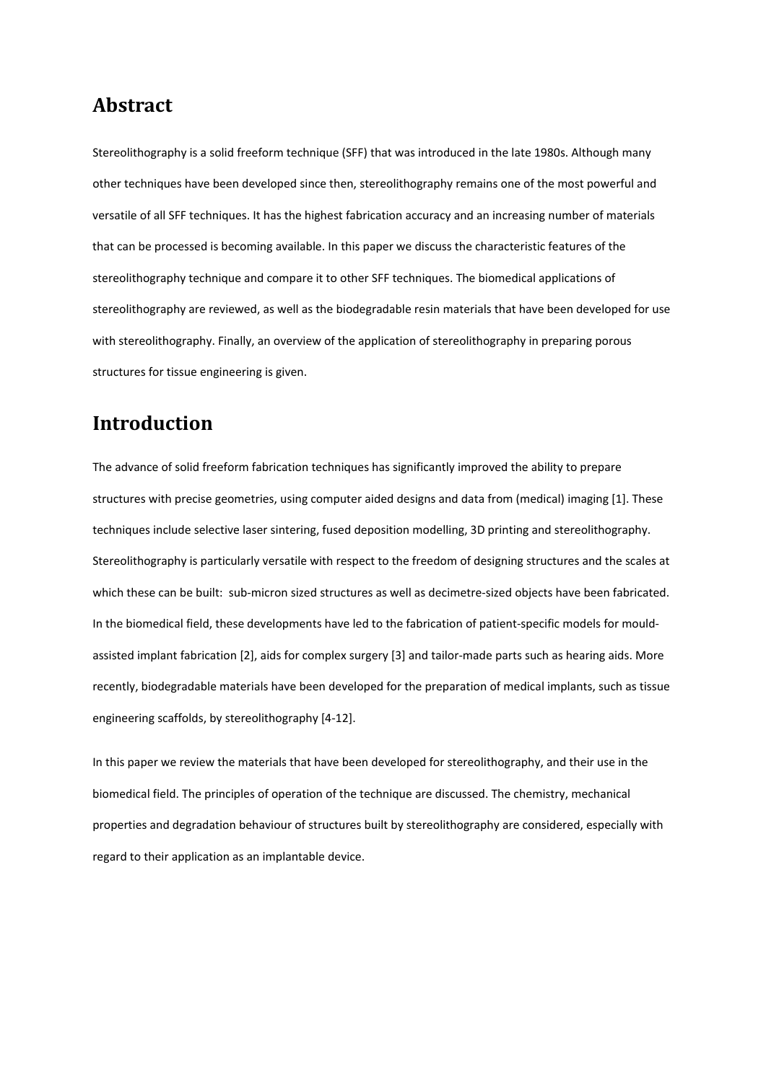#### **Abstract**

Stereolithography is a solid freeform technique (SFF) that was introduced in the late 1980s. Although many other techniques have been developed since then, stereolithography remains one of the most powerful and versatile of all SFF techniques. It has the highest fabrication accuracy and an increasing number of materials that can be processed is becoming available. In this paper we discuss the characteristic features of the stereolithography technique and compare it to other SFF techniques. The biomedical applications of stereolithography are reviewed, as well as the biodegradable resin materials that have been developed for use with stereolithography. Finally, an overview of the application of stereolithography in preparing porous structures for tissue engineering is given.

# **Introduction**

The advance of solid freeform fabrication techniques has significantly improved the ability to prepare structures with precise geometries, using computer aided designs and data from (medical) imaging [1]. These techniques include selective laser sintering, fused deposition modelling, 3D printing and stereolithography. Stereolithography is particularly versatile with respect to the freedom of designing structures and the scales at which these can be built: sub-micron sized structures as well as decimetre-sized objects have been fabricated. In the biomedical field, these developments have led to the fabrication of patient-specific models for mouldassisted implant fabrication [2], aids for complex surgery [3] and tailor‐made parts such as hearing aids. More recently, biodegradable materials have been developed for the preparation of medical implants, such as tissue engineering scaffolds, by stereolithography [4‐12].

In this paper we review the materials that have been developed for stereolithography, and their use in the biomedical field. The principles of operation of the technique are discussed. The chemistry, mechanical properties and degradation behaviour of structures built by stereolithography are considered, especially with regard to their application as an implantable device.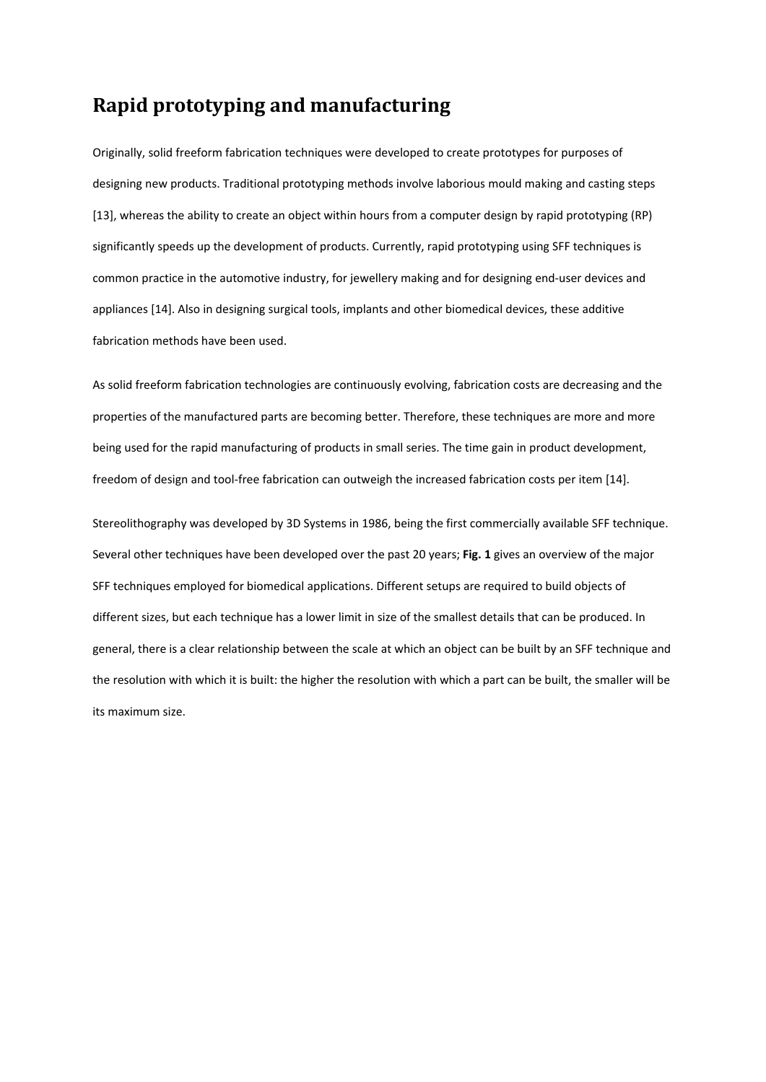### **Rapid prototyping and manufacturing**

Originally, solid freeform fabrication techniques were developed to create prototypes for purposes of designing new products. Traditional prototyping methods involve laborious mould making and casting steps [13], whereas the ability to create an object within hours from a computer design by rapid prototyping (RP) significantly speeds up the development of products. Currently, rapid prototyping using SFF techniques is common practice in the automotive industry, for jewellery making and for designing end‐user devices and appliances [14]. Also in designing surgical tools, implants and other biomedical devices, these additive fabrication methods have been used.

As solid freeform fabrication technologies are continuously evolving, fabrication costs are decreasing and the properties of the manufactured parts are becoming better. Therefore, these techniques are more and more being used for the rapid manufacturing of products in small series. The time gain in product development, freedom of design and tool-free fabrication can outweigh the increased fabrication costs per item [14].

Stereolithography was developed by 3D Systems in 1986, being the first commercially available SFF technique. Several other techniques have been developed over the past 20 years; **Fig. 1** gives an overview of the major SFF techniques employed for biomedical applications. Different setups are required to build objects of different sizes, but each technique has a lower limit in size of the smallest details that can be produced. In general, there is a clear relationship between the scale at which an object can be built by an SFF technique and the resolution with which it is built: the higher the resolution with which a part can be built, the smaller will be its maximum size.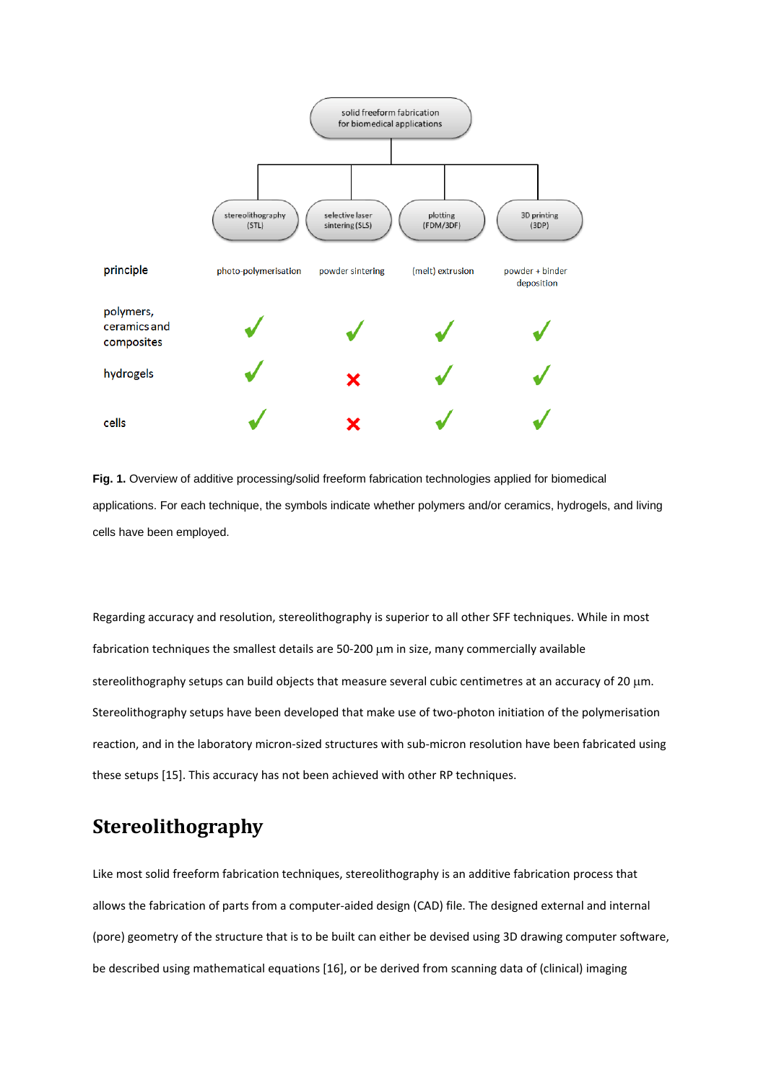

**Fig. 1.** Overview of additive processing/solid freeform fabrication technologies applied for biomedical applications. For each technique, the symbols indicate whether polymers and/or ceramics, hydrogels, and living cells have been employed.

Regarding accuracy and resolution, stereolithography is superior to all other SFF techniques. While in most fabrication techniques the smallest details are 50‐200 μm in size, many commercially available stereolithography setups can build objects that measure several cubic centimetres at an accuracy of 20 μm. Stereolithography setups have been developed that make use of two-photon initiation of the polymerisation reaction, and in the laboratory micron‐sized structures with sub‐micron resolution have been fabricated using these setups [15]. This accuracy has not been achieved with other RP techniques.

# **Stereolithography**

Like most solid freeform fabrication techniques, stereolithography is an additive fabrication process that allows the fabrication of parts from a computer‐aided design (CAD) file. The designed external and internal (pore) geometry of the structure that is to be built can either be devised using 3D drawing computer software, be described using mathematical equations [16], or be derived from scanning data of (clinical) imaging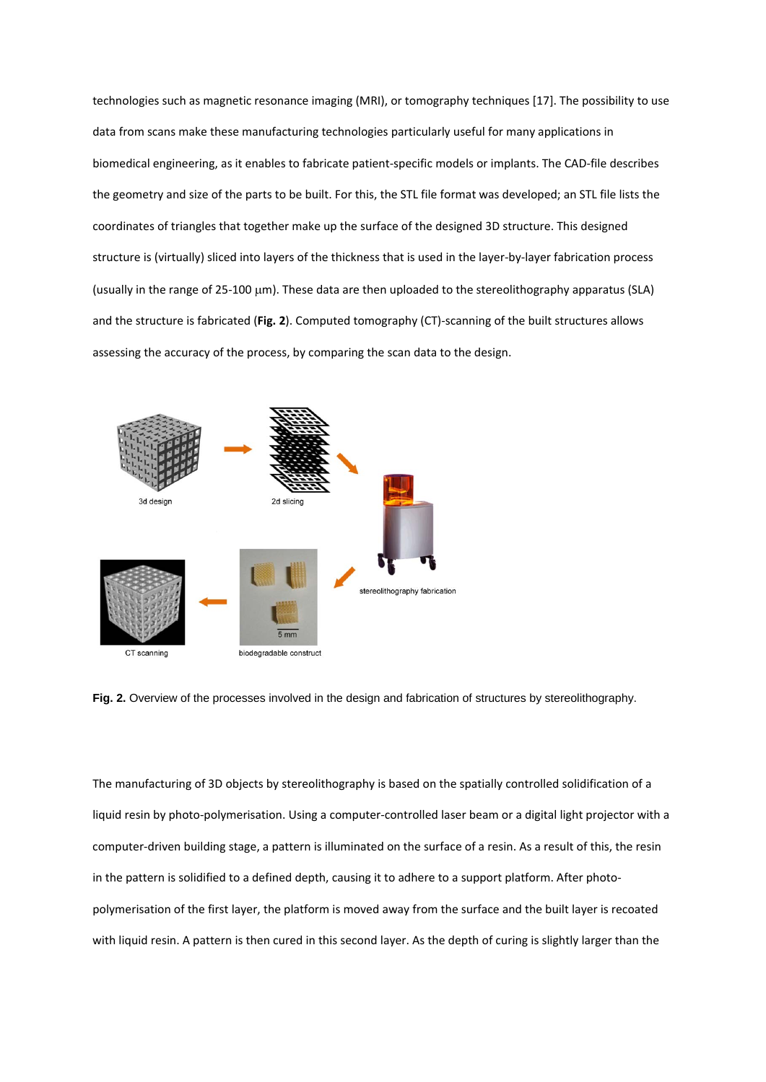technologies such as magnetic resonance imaging (MRI), or tomography techniques [17]. The possibility to use data from scans make these manufacturing technologies particularly useful for many applications in biomedical engineering, as it enables to fabricate patient‐specific models or implants. The CAD‐file describes the geometry and size of the parts to be built. For this, the STL file format was developed; an STL file lists the coordinates of triangles that together make up the surface of the designed 3D structure. This designed structure is (virtually) sliced into layers of the thickness that is used in the layer‐by‐layer fabrication process (usually in the range of 25‐100 μm). These data are then uploaded to the stereolithography apparatus (SLA) and the structure is fabricated (**Fig. 2**). Computed tomography (CT)‐scanning of the built structures allows assessing the accuracy of the process, by comparing the scan data to the design.



**Fig. 2.** Overview of the processes involved in the design and fabrication of structures by stereolithography.

The manufacturing of 3D objects by stereolithography is based on the spatially controlled solidification of a liquid resin by photo‐polymerisation. Using a computer‐controlled laser beam or a digital light projector with a computer‐driven building stage, a pattern is illuminated on the surface of a resin. As a result of this, the resin in the pattern is solidified to a defined depth, causing it to adhere to a support platform. After photopolymerisation of the first layer, the platform is moved away from the surface and the built layer is recoated with liquid resin. A pattern is then cured in this second layer. As the depth of curing is slightly larger than the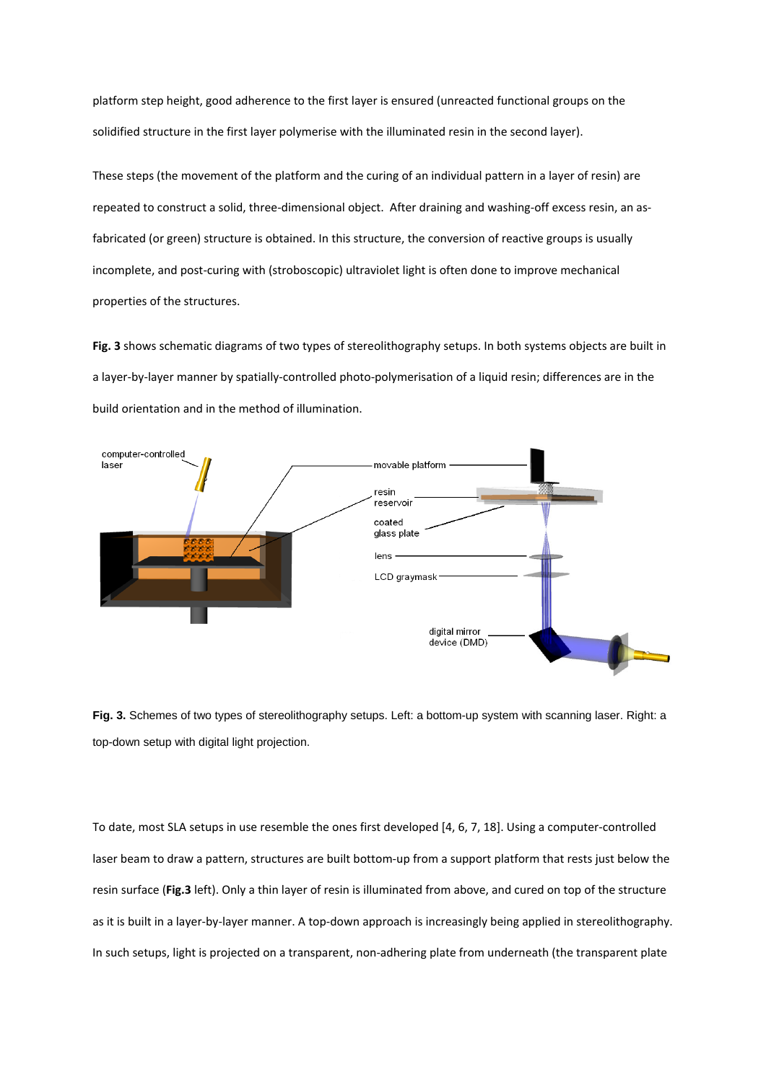platform step height, good adherence to the first layer is ensured (unreacted functional groups on the solidified structure in the first layer polymerise with the illuminated resin in the second layer).

These steps (the movement of the platform and the curing of an individual pattern in a layer of resin) are repeated to construct a solid, three-dimensional object. After draining and washing-off excess resin, an asfabricated (or green) structure is obtained. In this structure, the conversion of reactive groups is usually incomplete, and post-curing with (stroboscopic) ultraviolet light is often done to improve mechanical properties of the structures.

**Fig. 3** shows schematic diagrams of two types of stereolithography setups. In both systems objects are built in a layer‐by‐layer manner by spatially‐controlled photo‐polymerisation of a liquid resin; differences are in the build orientation and in the method of illumination.



**Fig. 3.** Schemes of two types of stereolithography setups. Left: a bottom-up system with scanning laser. Right: a top-down setup with digital light projection.

To date, most SLA setups in use resemble the ones first developed [4, 6, 7, 18]. Using a computer‐controlled laser beam to draw a pattern, structures are built bottom‐up from a support platform that rests just below the resin surface (**Fig.3** left). Only a thin layer of resin is illuminated from above, and cured on top of the structure as it is built in a layer‐by‐layer manner. A top‐down approach is increasingly being applied in stereolithography. In such setups, light is projected on a transparent, non-adhering plate from underneath (the transparent plate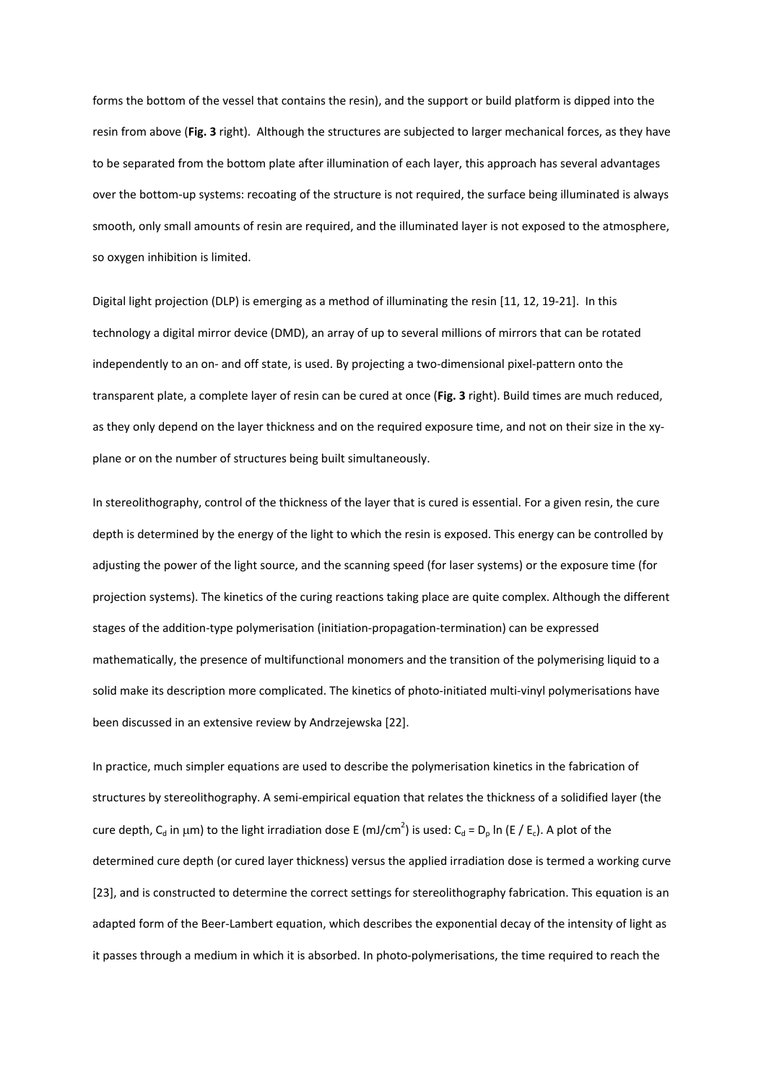forms the bottom of the vessel that contains the resin), and the support or build platform is dipped into the resin from above (**Fig. 3** right). Although the structures are subjected to larger mechanical forces, as they have to be separated from the bottom plate after illumination of each layer, this approach has several advantages over the bottom‐up systems: recoating of the structure is not required, the surface being illuminated is always smooth, only small amounts of resin are required, and the illuminated layer is not exposed to the atmosphere, so oxygen inhibition is limited.

Digital light projection (DLP) is emerging as a method of illuminating the resin [11, 12, 19‐21]. In this technology a digital mirror device (DMD), an array of up to several millions of mirrors that can be rotated independently to an on‐ and off state, is used. By projecting a two‐dimensional pixel‐pattern onto the transparent plate, a complete layer of resin can be cured at once (**Fig. 3** right). Build times are much reduced, as they only depend on the layer thickness and on the required exposure time, and not on their size in the xy‐ plane or on the number of structures being built simultaneously.

In stereolithography, control of the thickness of the layer that is cured is essential. For a given resin, the cure depth is determined by the energy of the light to which the resin is exposed. This energy can be controlled by adjusting the power of the light source, and the scanning speed (for laser systems) or the exposure time (for projection systems). The kinetics of the curing reactions taking place are quite complex. Although the different stages of the addition‐type polymerisation (initiation‐propagation‐termination) can be expressed mathematically, the presence of multifunctional monomers and the transition of the polymerising liquid to a solid make its description more complicated. The kinetics of photo-initiated multi-vinyl polymerisations have been discussed in an extensive review by Andrzejewska [22].

In practice, much simpler equations are used to describe the polymerisation kinetics in the fabrication of structures by stereolithography. A semi‐empirical equation that relates the thickness of a solidified layer (the cure depth, C<sub>d</sub> in  $\mu$ m) to the light irradiation dose E (mJ/cm<sup>2</sup>) is used: C<sub>d</sub> = D<sub>p</sub> ln (E / E<sub>c</sub>). A plot of the determined cure depth (or cured layer thickness) versus the applied irradiation dose is termed a working curve [23], and is constructed to determine the correct settings for stereolithography fabrication. This equation is an adapted form of the Beer-Lambert equation, which describes the exponential decay of the intensity of light as it passes through a medium in which it is absorbed. In photo‐polymerisations, the time required to reach the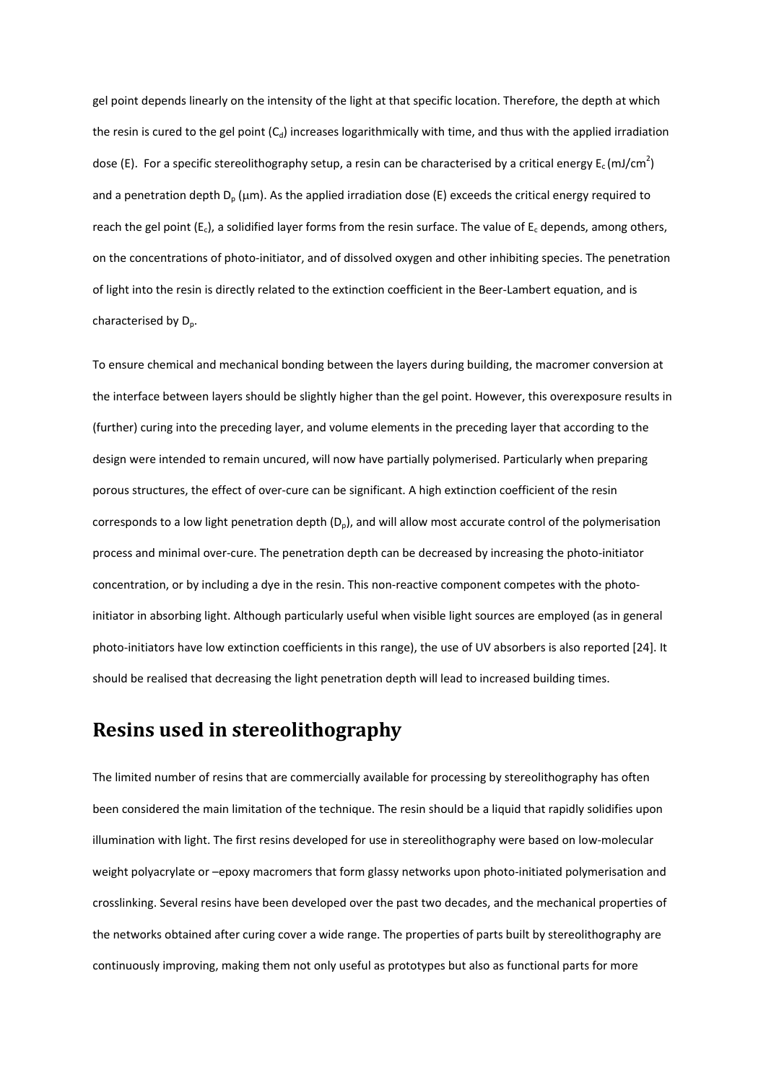gel point depends linearly on the intensity of the light at that specific location. Therefore, the depth at which the resin is cured to the gel point  $(C_d)$  increases logarithmically with time, and thus with the applied irradiation dose (E). For a specific stereolithography setup, a resin can be characterised by a critical energy  $E_c$  (mJ/cm<sup>2</sup>) and a penetration depth  $D_p$  ( $\mu$ m). As the applied irradiation dose (E) exceeds the critical energy required to reach the gel point ( $E_c$ ), a solidified layer forms from the resin surface. The value of  $E_c$  depends, among others, on the concentrations of photo‐initiator, and of dissolved oxygen and other inhibiting species. The penetration of light into the resin is directly related to the extinction coefficient in the Beer‐Lambert equation, and is characterised by  $D_n$ .

To ensure chemical and mechanical bonding between the layers during building, the macromer conversion at the interface between layers should be slightly higher than the gel point. However, this overexposure results in (further) curing into the preceding layer, and volume elements in the preceding layer that according to the design were intended to remain uncured, will now have partially polymerised. Particularly when preparing porous structures, the effect of over‐cure can be significant. A high extinction coefficient of the resin corresponds to a low light penetration depth  $(D_n)$ , and will allow most accurate control of the polymerisation process and minimal over‐cure. The penetration depth can be decreased by increasing the photo‐initiator concentration, or by including a dye in the resin. This non-reactive component competes with the photoinitiator in absorbing light. Although particularly useful when visible light sources are employed (as in general photo-initiators have low extinction coefficients in this range), the use of UV absorbers is also reported [24]. It should be realised that decreasing the light penetration depth will lead to increased building times.

### **Resins used in stereolithography**

The limited number of resins that are commercially available for processing by stereolithography has often been considered the main limitation of the technique. The resin should be a liquid that rapidly solidifies upon illumination with light. The first resins developed for use in stereolithography were based on low‐molecular weight polyacrylate or –epoxy macromers that form glassy networks upon photo-initiated polymerisation and crosslinking. Several resins have been developed over the past two decades, and the mechanical properties of the networks obtained after curing cover a wide range. The properties of parts built by stereolithography are continuously improving, making them not only useful as prototypes but also as functional parts for more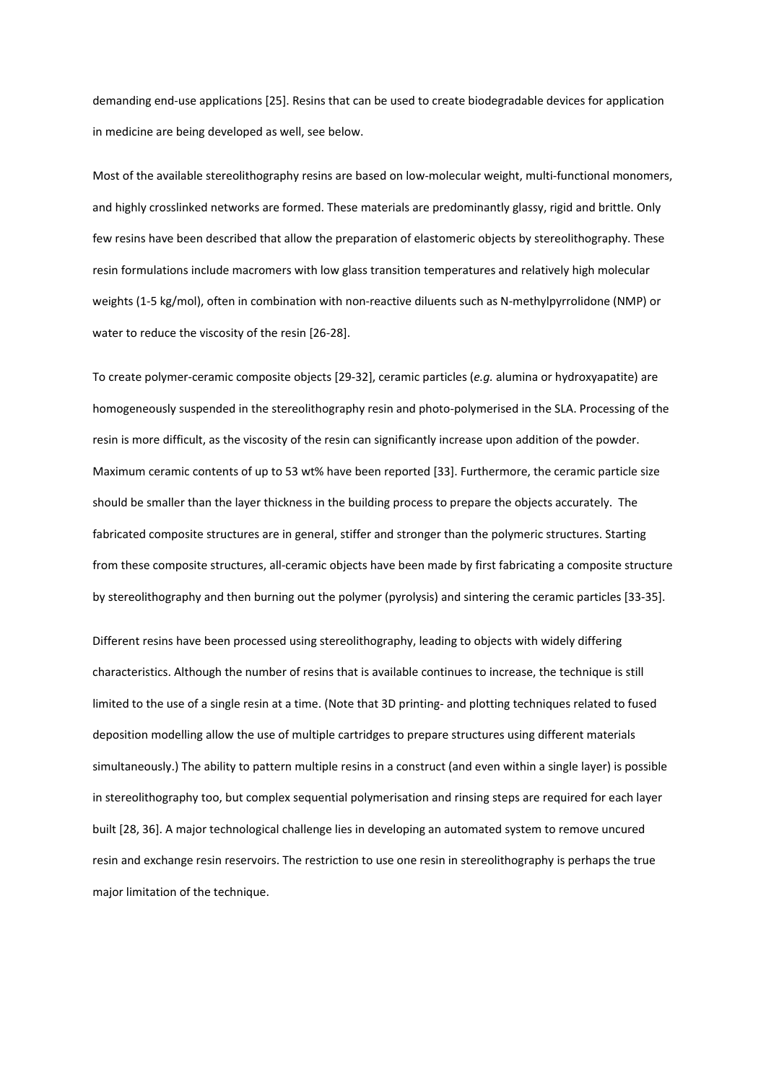demanding end‐use applications [25]. Resins that can be used to create biodegradable devices for application in medicine are being developed as well, see below.

Most of the available stereolithography resins are based on low-molecular weight, multi-functional monomers, and highly crosslinked networks are formed. These materials are predominantly glassy, rigid and brittle. Only few resins have been described that allow the preparation of elastomeric objects by stereolithography. These resin formulations include macromers with low glass transition temperatures and relatively high molecular weights (1-5 kg/mol), often in combination with non-reactive diluents such as N-methylpyrrolidone (NMP) or water to reduce the viscosity of the resin [26‐28].

To create polymer‐ceramic composite objects [29‐32], ceramic particles (*e.g.* alumina or hydroxyapatite) are homogeneously suspended in the stereolithography resin and photo-polymerised in the SLA. Processing of the resin is more difficult, as the viscosity of the resin can significantly increase upon addition of the powder. Maximum ceramic contents of up to 53 wt% have been reported [33]. Furthermore, the ceramic particle size should be smaller than the layer thickness in the building process to prepare the objects accurately. The fabricated composite structures are in general, stiffer and stronger than the polymeric structures. Starting from these composite structures, all‐ceramic objects have been made by first fabricating a composite structure by stereolithography and then burning out the polymer (pyrolysis) and sintering the ceramic particles [33‐35].

Different resins have been processed using stereolithography, leading to objects with widely differing characteristics. Although the number of resins that is available continues to increase, the technique is still limited to the use of a single resin at a time. (Note that 3D printing‐ and plotting techniques related to fused deposition modelling allow the use of multiple cartridges to prepare structures using different materials simultaneously.) The ability to pattern multiple resins in a construct (and even within a single layer) is possible in stereolithography too, but complex sequential polymerisation and rinsing steps are required for each layer built [28, 36]. A major technological challenge lies in developing an automated system to remove uncured resin and exchange resin reservoirs. The restriction to use one resin in stereolithography is perhaps the true major limitation of the technique.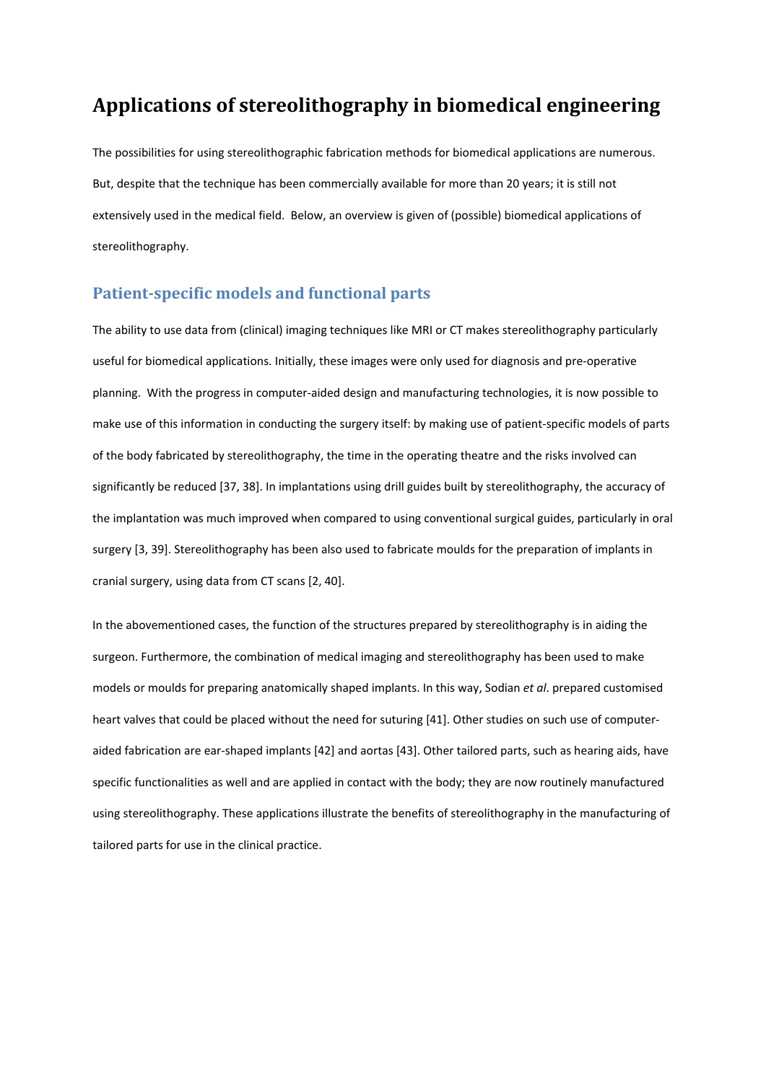### **Applications of stereolithography in biomedical engineering**

The possibilities for using stereolithographic fabrication methods for biomedical applications are numerous. But, despite that the technique has been commercially available for more than 20 years; it is still not extensively used in the medical field. Below, an overview is given of (possible) biomedical applications of stereolithography.

#### **Patientspecific models and functional parts**

The ability to use data from (clinical) imaging techniques like MRI or CT makes stereolithography particularly useful for biomedical applications. Initially, these images were only used for diagnosis and pre‐operative planning. With the progress in computer‐aided design and manufacturing technologies, it is now possible to make use of this information in conducting the surgery itself: by making use of patient‐specific models of parts of the body fabricated by stereolithography, the time in the operating theatre and the risks involved can significantly be reduced [37, 38]. In implantations using drill guides built by stereolithography, the accuracy of the implantation was much improved when compared to using conventional surgical guides, particularly in oral surgery [3, 39]. Stereolithography has been also used to fabricate moulds for the preparation of implants in cranial surgery, using data from CT scans [2, 40].

In the abovementioned cases, the function of the structures prepared by stereolithography is in aiding the surgeon. Furthermore, the combination of medical imaging and stereolithography has been used to make models or moulds for preparing anatomically shaped implants. In this way, Sodian *et al*. prepared customised heart valves that could be placed without the need for suturing [41]. Other studies on such use of computer‐ aided fabrication are ear‐shaped implants [42] and aortas [43]. Other tailored parts, such as hearing aids, have specific functionalities as well and are applied in contact with the body; they are now routinely manufactured using stereolithography. These applications illustrate the benefits of stereolithography in the manufacturing of tailored parts for use in the clinical practice.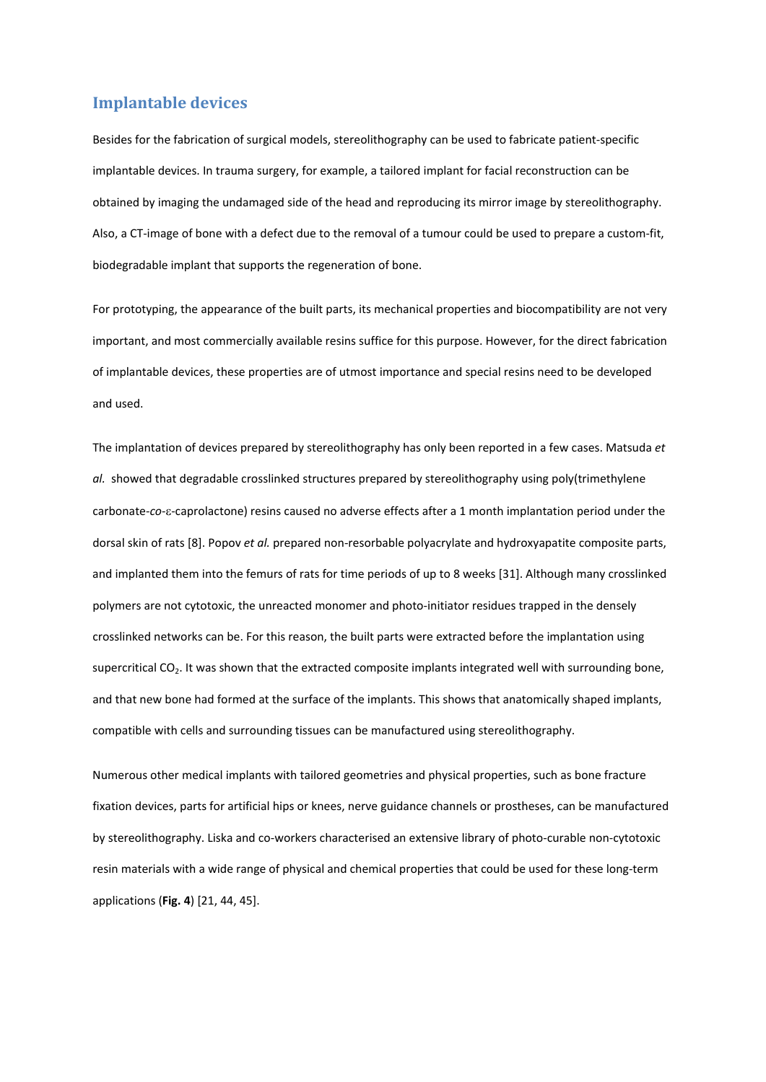#### **Implantable devices**

Besides for the fabrication of surgical models, stereolithography can be used to fabricate patient‐specific implantable devices. In trauma surgery, for example, a tailored implant for facial reconstruction can be obtained by imaging the undamaged side of the head and reproducing its mirror image by stereolithography. Also, a CT‐image of bone with a defect due to the removal of a tumour could be used to prepare a custom‐fit, biodegradable implant that supports the regeneration of bone.

For prototyping, the appearance of the built parts, its mechanical properties and biocompatibility are not very important, and most commercially available resins suffice for this purpose. However, for the direct fabrication of implantable devices, these properties are of utmost importance and special resins need to be developed and used.

The implantation of devices prepared by stereolithography has only been reported in a few cases. Matsuda *et* al. showed that degradable crosslinked structures prepared by stereolithography using poly(trimethylene carbonate-*co*-ε-caprolactone) resins caused no adverse effects after a 1 month implantation period under the dorsal skin of rats [8]. Popov *et al.* prepared non‐resorbable polyacrylate and hydroxyapatite composite parts, and implanted them into the femurs of rats for time periods of up to 8 weeks [31]. Although many crosslinked polymers are not cytotoxic, the unreacted monomer and photo-initiator residues trapped in the densely crosslinked networks can be. For this reason, the built parts were extracted before the implantation using supercritical CO<sub>2</sub>. It was shown that the extracted composite implants integrated well with surrounding bone, and that new bone had formed at the surface of the implants. This shows that anatomically shaped implants, compatible with cells and surrounding tissues can be manufactured using stereolithography.

Numerous other medical implants with tailored geometries and physical properties, such as bone fracture fixation devices, parts for artificial hips or knees, nerve guidance channels or prostheses, can be manufactured by stereolithography. Liska and co‐workers characterised an extensive library of photo‐curable non‐cytotoxic resin materials with a wide range of physical and chemical properties that could be used for these long‐term applications (**Fig. 4**) [21, 44, 45].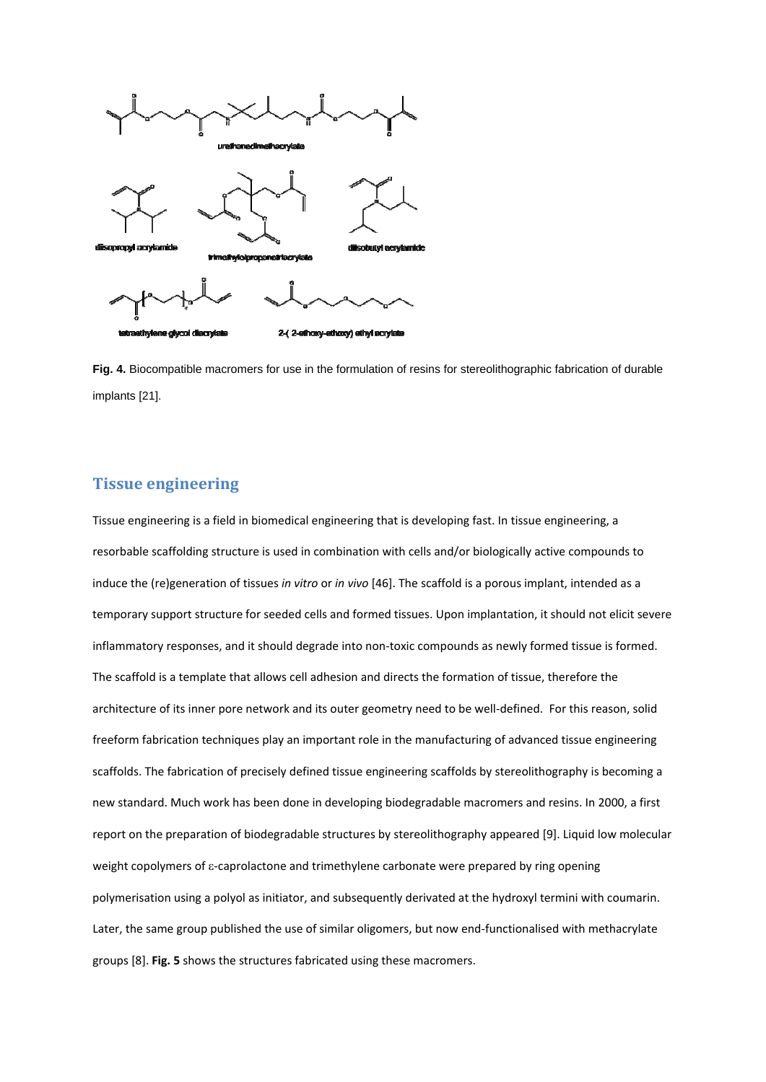

**Fig. 4.** Biocompatible macromers for use in the formulation of resins for stereolithographic fabrication of durable implants [21].

#### **Tissue engineering**

Tissue engineering is a field in biomedical engineering that is developing fast. In tissue engineering, a resorbable scaffolding structure is used in combination with cells and/or biologically active compounds to induce the (re)generation of tissues *in vitro* or *in vivo* [46]. The scaffold is a porous implant, intended as a temporary support structure for seeded cells and formed tissues. Upon implantation, it should not elicit severe inflammatory responses, and it should degrade into non‐toxic compounds as newly formed tissue is formed. The scaffold is a template that allows cell adhesion and directs the formation of tissue, therefore the architecture of its inner pore network and its outer geometry need to be well-defined. For this reason, solid freeform fabrication techniques play an important role in the manufacturing of advanced tissue engineering scaffolds. The fabrication of precisely defined tissue engineering scaffolds by stereolithography is becoming a new standard. Much work has been done in developing biodegradable macromers and resins. In 2000, a first report on the preparation of biodegradable structures by stereolithography appeared [9]. Liquid low molecular weight copolymers of ε‐caprolactone and trimethylene carbonate were prepared by ring opening polymerisation using a polyol as initiator, and subsequently derivated at the hydroxyl termini with coumarin. Later, the same group published the use of similar oligomers, but now end-functionalised with methacrylate groups [8]. **Fig. 5** shows the structures fabricated using these macromers.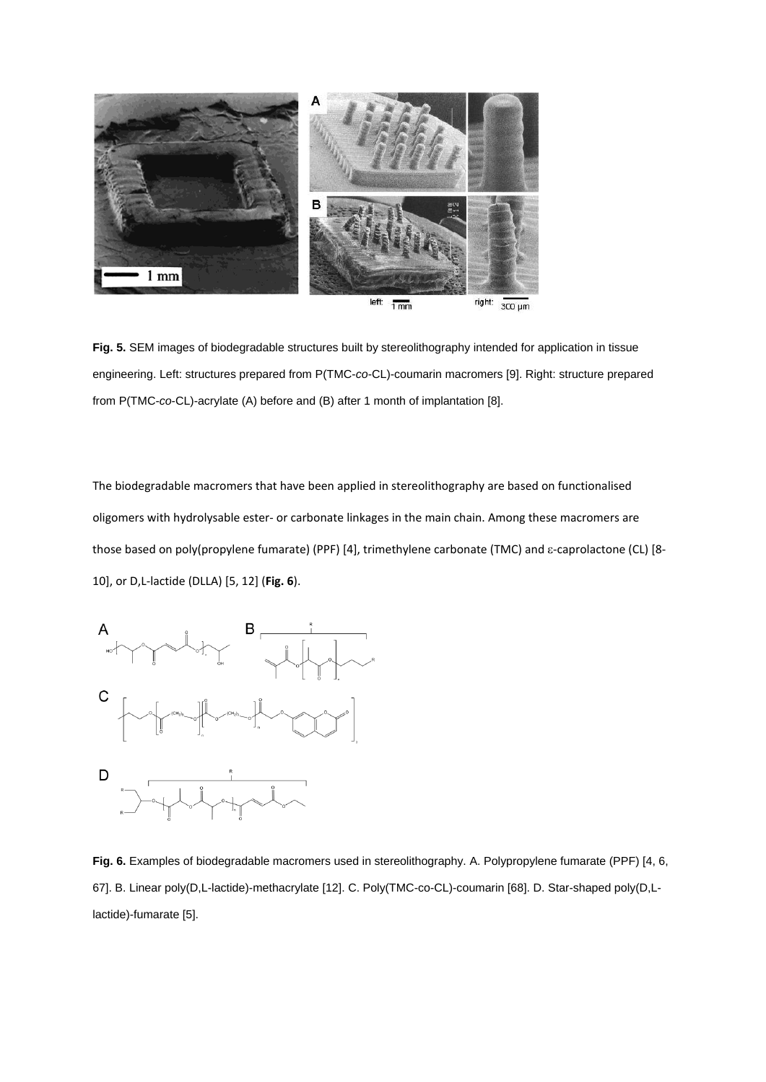

**Fig. 5.** SEM images of biodegradable structures built by stereolithography intended for application in tissue engineering. Left: structures prepared from P(TMC-*co*-CL)-coumarin macromers [9]. Right: structure prepared from P(TMC-*co*-CL)-acrylate (A) before and (B) after 1 month of implantation [8].

The biodegradable macromers that have been applied in stereolithography are based on functionalised oligomers with hydrolysable ester‐ or carbonate linkages in the main chain. Among these macromers are those based on poly(propylene fumarate) (PPF) [4], trimethylene carbonate (TMC) and ε-caprolactone (CL) [8-10], or D,L‐lactide (DLLA) [5, 12] (**Fig. 6**).



**Fig. 6.** Examples of biodegradable macromers used in stereolithography. A. Polypropylene fumarate (PPF) [4, 6, 67]. B. Linear poly(D,L-lactide)-methacrylate [12]. C. Poly(TMC-co-CL)-coumarin [68]. D. Star-shaped poly(D,Llactide)-fumarate [5].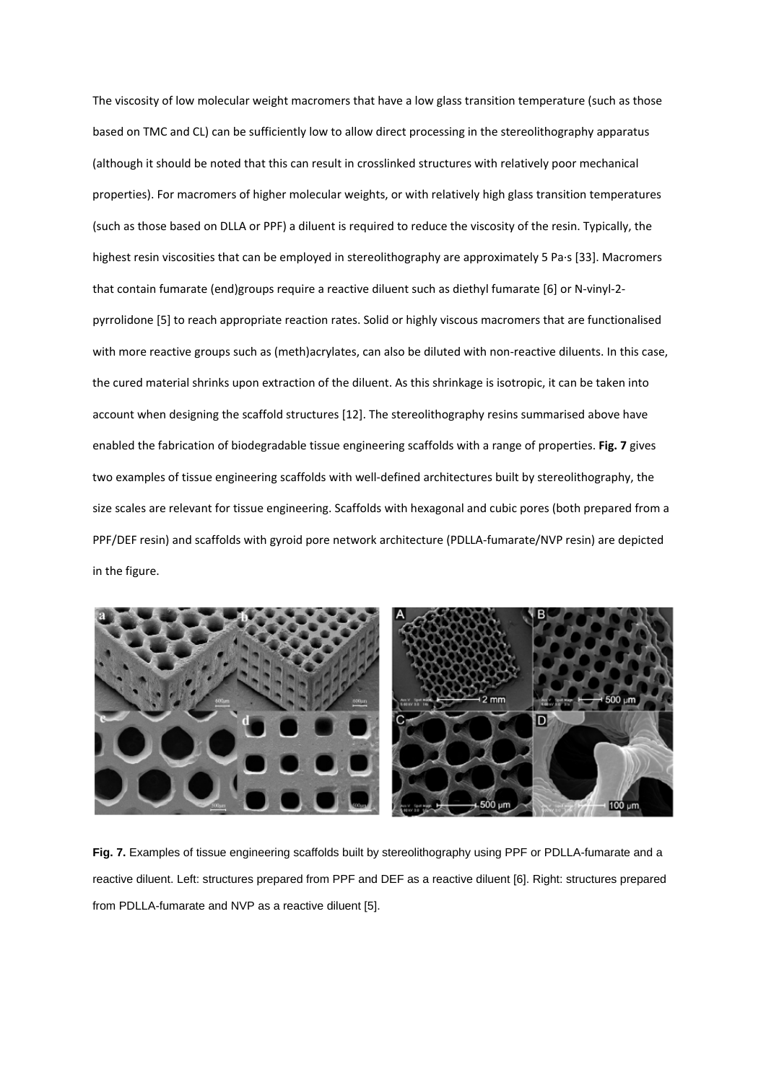The viscosity of low molecular weight macromers that have a low glass transition temperature (such as those based on TMC and CL) can be sufficiently low to allow direct processing in the stereolithography apparatus (although it should be noted that this can result in crosslinked structures with relatively poor mechanical properties). For macromers of higher molecular weights, or with relatively high glass transition temperatures (such as those based on DLLA or PPF) a diluent is required to reduce the viscosity of the resin. Typically, the highest resin viscosities that can be employed in stereolithography are approximately 5 Pa∙s [33]. Macromers that contain fumarate (end)groups require a reactive diluent such as diethyl fumarate [6] or N‐vinyl‐2‐ pyrrolidone [5] to reach appropriate reaction rates. Solid or highly viscous macromers that are functionalised with more reactive groups such as (meth)acrylates, can also be diluted with non-reactive diluents. In this case, the cured material shrinks upon extraction of the diluent. As this shrinkage is isotropic, it can be taken into account when designing the scaffold structures [12]. The stereolithography resins summarised above have enabled the fabrication of biodegradable tissue engineering scaffolds with a range of properties. **Fig. 7** gives two examples of tissue engineering scaffolds with well‐defined architectures built by stereolithography, the size scales are relevant for tissue engineering. Scaffolds with hexagonal and cubic pores (both prepared from a PPF/DEF resin) and scaffolds with gyroid pore network architecture (PDLLA‐fumarate/NVP resin) are depicted in the figure.



**Fig. 7.** Examples of tissue engineering scaffolds built by stereolithography using PPF or PDLLA-fumarate and a reactive diluent. Left: structures prepared from PPF and DEF as a reactive diluent [6]. Right: structures prepared from PDLLA-fumarate and NVP as a reactive diluent [5].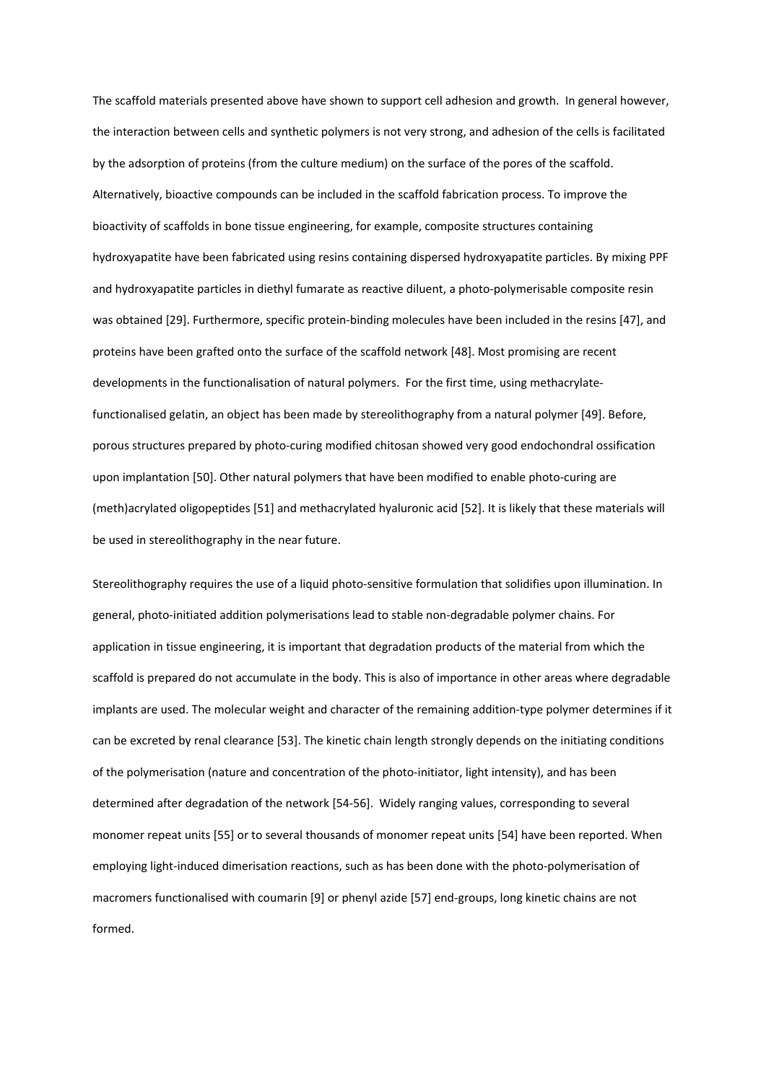The scaffold materials presented above have shown to support cell adhesion and growth. In general however, the interaction between cells and synthetic polymers is not very strong, and adhesion of the cells is facilitated by the adsorption of proteins (from the culture medium) on the surface of the pores of the scaffold. Alternatively, bioactive compounds can be included in the scaffold fabrication process. To improve the bioactivity of scaffolds in bone tissue engineering, for example, composite structures containing hydroxyapatite have been fabricated using resins containing dispersed hydroxyapatite particles. By mixing PPF and hydroxyapatite particles in diethyl fumarate as reactive diluent, a photo‐polymerisable composite resin was obtained [29]. Furthermore, specific protein-binding molecules have been included in the resins [47], and proteins have been grafted onto the surface of the scaffold network [48]. Most promising are recent developments in the functionalisation of natural polymers. For the first time, using methacrylatefunctionalised gelatin, an object has been made by stereolithography from a natural polymer [49]. Before, porous structures prepared by photo‐curing modified chitosan showed very good endochondral ossification upon implantation [50]. Other natural polymers that have been modified to enable photo‐curing are (meth)acrylated oligopeptides [51] and methacrylated hyaluronic acid [52]. It is likely that these materials will be used in stereolithography in the near future.

Stereolithography requires the use of a liquid photo-sensitive formulation that solidifies upon illumination. In general, photo‐initiated addition polymerisations lead to stable non‐degradable polymer chains. For application in tissue engineering, it is important that degradation products of the material from which the scaffold is prepared do not accumulate in the body. This is also of importance in other areas where degradable implants are used. The molecular weight and character of the remaining addition-type polymer determines if it can be excreted by renal clearance [53]. The kinetic chain length strongly depends on the initiating conditions of the polymerisation (nature and concentration of the photo-initiator, light intensity), and has been determined after degradation of the network [54‐56]. Widely ranging values, corresponding to several monomer repeat units [55] or to several thousands of monomer repeat units [54] have been reported. When employing light-induced dimerisation reactions, such as has been done with the photo-polymerisation of macromers functionalised with coumarin [9] or phenyl azide [57] end‐groups, long kinetic chains are not formed.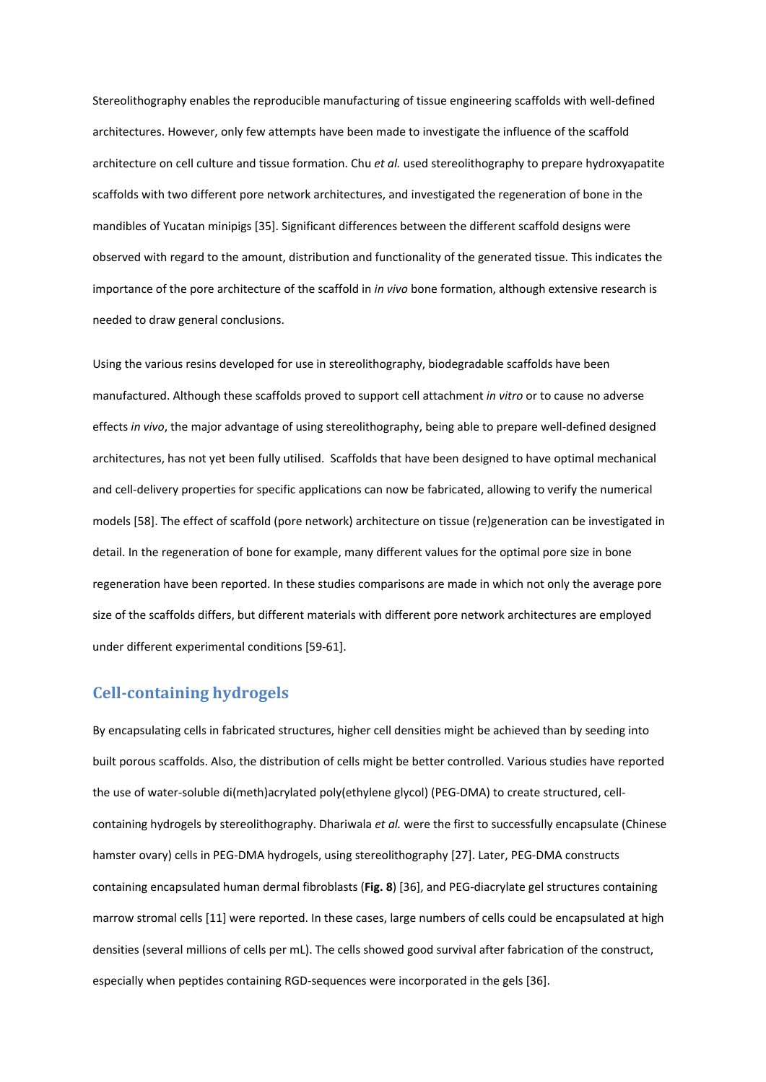Stereolithography enables the reproducible manufacturing of tissue engineering scaffolds with well‐defined architectures. However, only few attempts have been made to investigate the influence of the scaffold architecture on cell culture and tissue formation. Chu *et al.* used stereolithography to prepare hydroxyapatite scaffolds with two different pore network architectures, and investigated the regeneration of bone in the mandibles of Yucatan minipigs [35]. Significant differences between the different scaffold designs were observed with regard to the amount, distribution and functionality of the generated tissue. This indicates the importance of the pore architecture of the scaffold in *in vivo* bone formation, although extensive research is needed to draw general conclusions.

Using the various resins developed for use in stereolithography, biodegradable scaffolds have been manufactured. Although these scaffolds proved to support cell attachment *in vitro* or to cause no adverse effects *in vivo*, the major advantage of using stereolithography, being able to prepare well‐defined designed architectures, has not yet been fully utilised. Scaffolds that have been designed to have optimal mechanical and cell-delivery properties for specific applications can now be fabricated, allowing to verify the numerical models [58]. The effect of scaffold (pore network) architecture on tissue (re)generation can be investigated in detail. In the regeneration of bone for example, many different values for the optimal pore size in bone regeneration have been reported. In these studies comparisons are made in which not only the average pore size of the scaffolds differs, but different materials with different pore network architectures are employed under different experimental conditions [59‐61].

#### **Cellcontaining hydrogels**

By encapsulating cells in fabricated structures, higher cell densities might be achieved than by seeding into built porous scaffolds. Also, the distribution of cells might be better controlled. Various studies have reported the use of water-soluble di(meth)acrylated poly(ethylene glycol) (PEG-DMA) to create structured, cellcontaining hydrogels by stereolithography. Dhariwala *et al.* were the first to successfully encapsulate (Chinese hamster ovary) cells in PEG‐DMA hydrogels, using stereolithography [27]. Later, PEG‐DMA constructs containing encapsulated human dermal fibroblasts (**Fig. 8**) [36], and PEG‐diacrylate gel structures containing marrow stromal cells [11] were reported. In these cases, large numbers of cells could be encapsulated at high densities (several millions of cells per mL). The cells showed good survival after fabrication of the construct, especially when peptides containing RGD‐sequences were incorporated in the gels [36].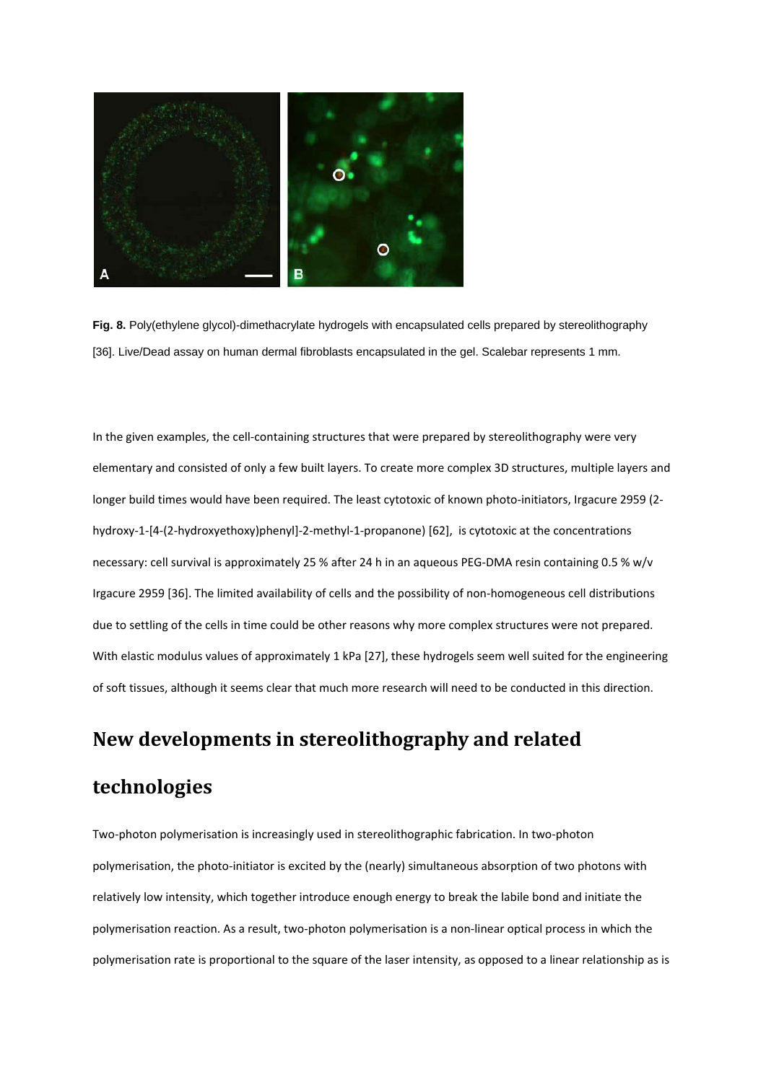

**Fig. 8.** Poly(ethylene glycol)-dimethacrylate hydrogels with encapsulated cells prepared by stereolithography [36]. Live/Dead assay on human dermal fibroblasts encapsulated in the gel. Scalebar represents 1 mm.

In the given examples, the cell-containing structures that were prepared by stereolithography were very elementary and consisted of only a few built layers. To create more complex 3D structures, multiple layers and longer build times would have been required. The least cytotoxic of known photo-initiators, Irgacure 2959 (2hydroxy‐1‐[4‐(2‐hydroxyethoxy)phenyl]‐2‐methyl‐1‐propanone) [62], is cytotoxic at the concentrations necessary: cell survival is approximately 25 % after 24 h in an aqueous PEG‐DMA resin containing 0.5 % w/v Irgacure 2959 [36]. The limited availability of cells and the possibility of non‐homogeneous cell distributions due to settling of the cells in time could be other reasons why more complex structures were not prepared. With elastic modulus values of approximately 1 kPa [27], these hydrogels seem well suited for the engineering of soft tissues, although it seems clear that much more research will need to be conducted in this direction.

### **New developments in stereolithography and related**

### **technologies**

Two‐photon polymerisation is increasingly used in stereolithographic fabrication. In two‐photon polymerisation, the photo‐initiator is excited by the (nearly) simultaneous absorption of two photons with relatively low intensity, which together introduce enough energy to break the labile bond and initiate the polymerisation reaction. As a result, two-photon polymerisation is a non-linear optical process in which the polymerisation rate is proportional to the square of the laser intensity, as opposed to a linear relationship as is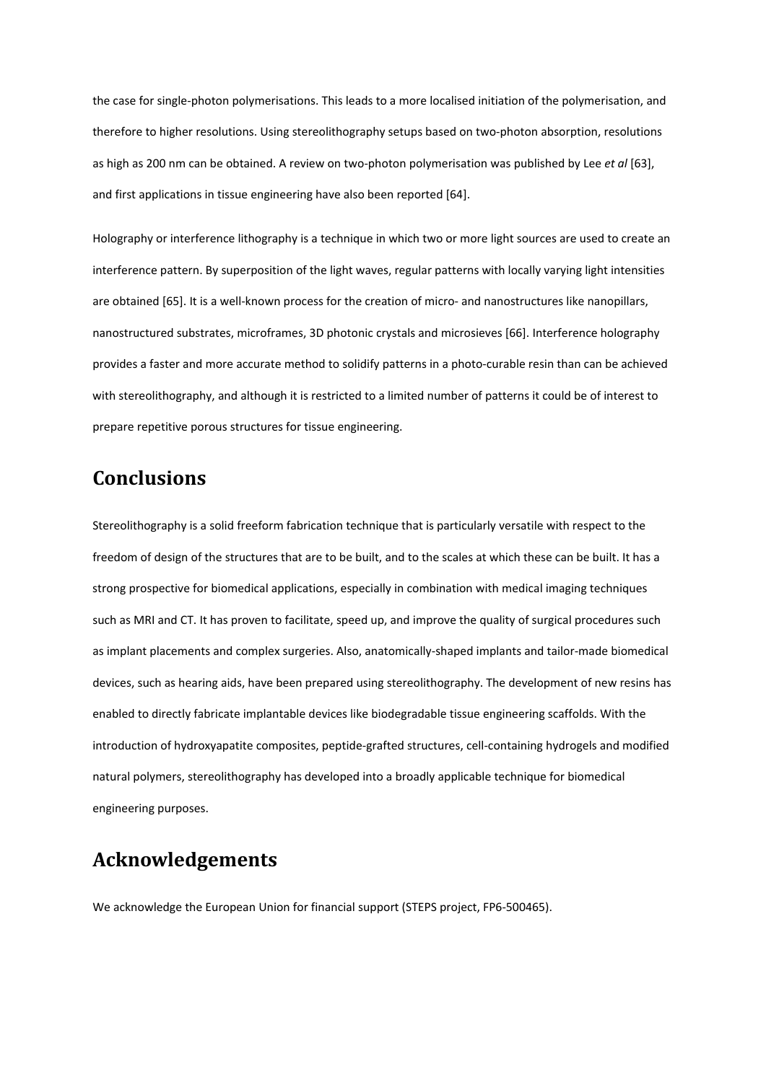the case for single‐photon polymerisations. This leads to a more localised initiation of the polymerisation, and therefore to higher resolutions. Using stereolithography setups based on two-photon absorption, resolutions as high as 200 nm can be obtained. A review on two‐photon polymerisation was published by Lee *et al* [63], and first applications in tissue engineering have also been reported [64].

Holography or interference lithography is a technique in which two or more light sources are used to create an interference pattern. By superposition of the light waves, regular patterns with locally varying light intensities are obtained [65]. It is a well-known process for the creation of micro- and nanostructures like nanopillars, nanostructured substrates, microframes, 3D photonic crystals and microsieves [66]. Interference holography provides a faster and more accurate method to solidify patterns in a photo-curable resin than can be achieved with stereolithography, and although it is restricted to a limited number of patterns it could be of interest to prepare repetitive porous structures for tissue engineering.

# **Conclusions**

Stereolithography is a solid freeform fabrication technique that is particularly versatile with respect to the freedom of design of the structures that are to be built, and to the scales at which these can be built. It has a strong prospective for biomedical applications, especially in combination with medical imaging techniques such as MRI and CT. It has proven to facilitate, speed up, and improve the quality of surgical procedures such as implant placements and complex surgeries. Also, anatomically-shaped implants and tailor-made biomedical devices, such as hearing aids, have been prepared using stereolithography. The development of new resins has enabled to directly fabricate implantable devices like biodegradable tissue engineering scaffolds. With the introduction of hydroxyapatite composites, peptide‐grafted structures, cell‐containing hydrogels and modified natural polymers, stereolithography has developed into a broadly applicable technique for biomedical engineering purposes.

# **Acknowledgements**

We acknowledge the European Union for financial support (STEPS project, FP6‐500465).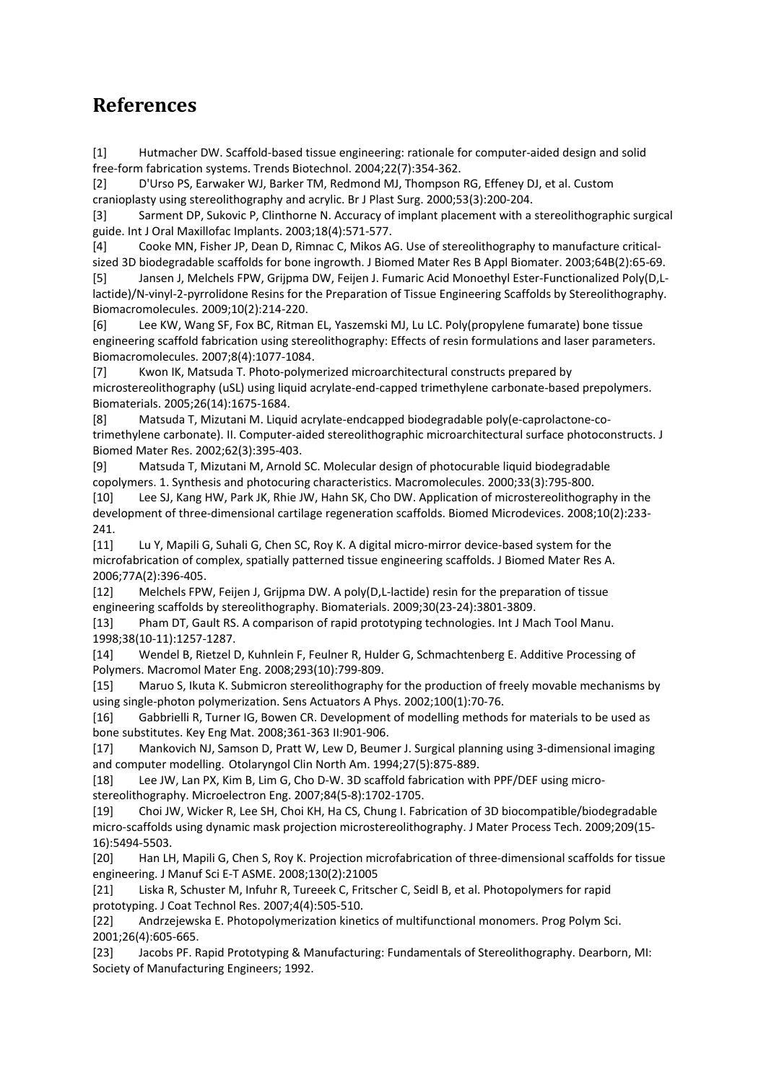# **References**

[1] Hutmacher DW. Scaffold‐based tissue engineering: rationale for computer‐aided design and solid free‐form fabrication systems. Trends Biotechnol. 2004;22(7):354‐362.

[2] D'Urso PS, Earwaker WJ, Barker TM, Redmond MJ, Thompson RG, Effeney DJ, et al. Custom cranioplasty using stereolithography and acrylic. Br J Plast Surg. 2000;53(3):200‐204.

[3] Sarment DP, Sukovic P, Clinthorne N. Accuracy of implant placement with a stereolithographic surgical guide. Int J Oral Maxillofac Implants. 2003;18(4):571‐577.

[4] Cooke MN, Fisher JP, Dean D, Rimnac C, Mikos AG. Use of stereolithography to manufacture critical‐ sized 3D biodegradable scaffolds for bone ingrowth. J Biomed Mater Res B Appl Biomater. 2003;64B(2):65‐69.

[5] Jansen J, Melchels FPW, Grijpma DW, Feijen J. Fumaric Acid Monoethyl Ester‐Functionalized Poly(D,L‐ lactide)/N-vinyl-2-pyrrolidone Resins for the Preparation of Tissue Engineering Scaffolds by Stereolithography. Biomacromolecules. 2009;10(2):214‐220.

[6] Lee KW, Wang SF, Fox BC, Ritman EL, Yaszemski MJ, Lu LC. Poly(propylene fumarate) bone tissue engineering scaffold fabrication using stereolithography: Effects of resin formulations and laser parameters. Biomacromolecules. 2007;8(4):1077‐1084.

[7] Kwon IK, Matsuda T. Photo‐polymerized microarchitectural constructs prepared by microstereolithography (uSL) using liquid acrylate‐end‐capped trimethylene carbonate‐based prepolymers. Biomaterials. 2005;26(14):1675‐1684.

[8] Matsuda T, Mizutani M. Liquid acrylate‐endcapped biodegradable poly(e‐caprolactone‐co‐ trimethylene carbonate). II. Computer‐aided stereolithographic microarchitectural surface photoconstructs. J Biomed Mater Res. 2002;62(3):395‐403.

[9] Matsuda T, Mizutani M, Arnold SC. Molecular design of photocurable liquid biodegradable copolymers. 1. Synthesis and photocuring characteristics. Macromolecules. 2000;33(3):795‐800.

[10] Lee SJ, Kang HW, Park JK, Rhie JW, Hahn SK, Cho DW. Application of microstereolithography in the development of three-dimensional cartilage regeneration scaffolds. Biomed Microdevices. 2008;10(2):233-241.

[11] Lu Y, Mapili G, Suhali G, Chen SC, Roy K. A digital micro-mirror device-based system for the microfabrication of complex, spatially patterned tissue engineering scaffolds. J Biomed Mater Res A. 2006;77A(2):396‐405.

[12] Melchels FPW, Feijen J, Grijpma DW. A poly(D,L‐lactide) resin for the preparation of tissue engineering scaffolds by stereolithography. Biomaterials. 2009;30(23‐24):3801‐3809.

[13] Pham DT, Gault RS. A comparison of rapid prototyping technologies. Int J Mach Tool Manu. 1998;38(10‐11):1257‐1287.

[14] Wendel B, Rietzel D, Kuhnlein F, Feulner R, Hulder G, Schmachtenberg E. Additive Processing of Polymers. Macromol Mater Eng. 2008;293(10):799‐809.

[15] Maruo S, Ikuta K. Submicron stereolithography for the production of freely movable mechanisms by using single‐photon polymerization. Sens Actuators A Phys. 2002;100(1):70‐76.

[16] Gabbrielli R, Turner IG, Bowen CR. Development of modelling methods for materials to be used as bone substitutes. Key Eng Mat. 2008;361‐363 II:901‐906.

[17] Mankovich NJ, Samson D, Pratt W, Lew D, Beumer J. Surgical planning using 3‐dimensional imaging and computer modelling. Otolaryngol Clin North Am. 1994;27(5):875‐889.

[18] Lee JW, Lan PX, Kim B, Lim G, Cho D‐W. 3D scaffold fabrication with PPF/DEF using micro‐ stereolithography. Microelectron Eng. 2007;84(5‐8):1702‐1705.

[19] Choi JW, Wicker R, Lee SH, Choi KH, Ha CS, Chung I. Fabrication of 3D biocompatible/biodegradable micro-scaffolds using dynamic mask projection microstereolithography. J Mater Process Tech. 2009;209(15-16):5494‐5503.

[20] Han LH, Mapili G, Chen S, Roy K. Projection microfabrication of three‐dimensional scaffolds for tissue engineering. J Manuf Sci E‐T ASME. 2008;130(2):21005

[21] Liska R, Schuster M, Infuhr R, Tureeek C, Fritscher C, Seidl B, et al. Photopolymers for rapid prototyping. J Coat Technol Res. 2007;4(4):505‐510.

[22] Andrzejewska E. Photopolymerization kinetics of multifunctional monomers. Prog Polym Sci. 2001;26(4):605‐665.

[23] Jacobs PF. Rapid Prototyping & Manufacturing: Fundamentals of Stereolithography. Dearborn, MI: Society of Manufacturing Engineers; 1992.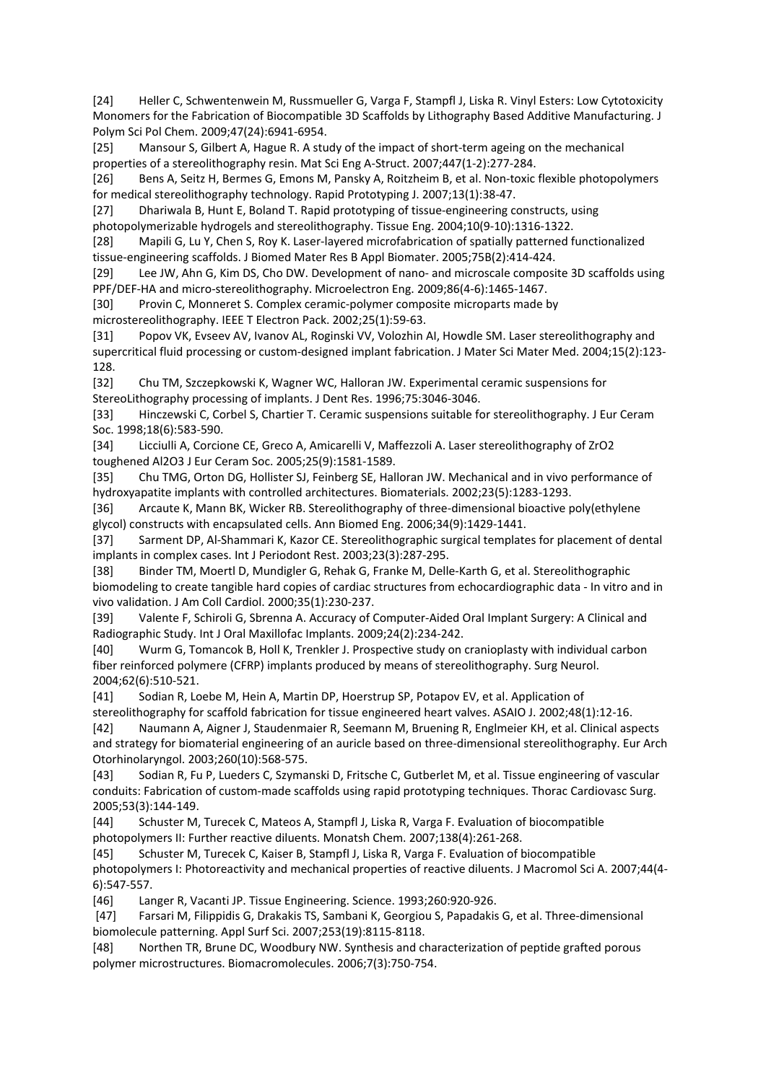[24] Heller C, Schwentenwein M, Russmueller G, Varga F, Stampfl J, Liska R. Vinyl Esters: Low Cytotoxicity Monomers for the Fabrication of Biocompatible 3D Scaffolds by Lithography Based Additive Manufacturing. J Polym Sci Pol Chem. 2009;47(24):6941‐6954.

[25] Mansour S, Gilbert A, Hague R. A study of the impact of short‐term ageing on the mechanical properties of a stereolithography resin. Mat Sci Eng A‐Struct. 2007;447(1‐2):277‐284.

[26] Bens A, Seitz H, Bermes G, Emons M, Pansky A, Roitzheim B, et al. Non‐toxic flexible photopolymers for medical stereolithography technology. Rapid Prototyping J. 2007;13(1):38‐47.

[27] Dhariwala B, Hunt E, Boland T. Rapid prototyping of tissue‐engineering constructs, using photopolymerizable hydrogels and stereolithography. Tissue Eng. 2004;10(9‐10):1316‐1322.

[28] Mapili G, Lu Y, Chen S, Roy K. Laser‐layered microfabrication of spatially patterned functionalized tissue‐engineering scaffolds. J Biomed Mater Res B Appl Biomater. 2005;75B(2):414‐424.

[29] Lee JW, Ahn G, Kim DS, Cho DW. Development of nano‐ and microscale composite 3D scaffolds using PPF/DEF‐HA and micro‐stereolithography. Microelectron Eng. 2009;86(4‐6):1465‐1467.

[30] Provin C, Monneret S. Complex ceramic-polymer composite microparts made by microstereolithography. IEEE T Electron Pack. 2002;25(1):59‐63.

[31] Popov VK, Evseev AV, Ivanov AL, Roginski VV, Volozhin AI, Howdle SM. Laser stereolithography and supercritical fluid processing or custom-designed implant fabrication. J Mater Sci Mater Med. 2004;15(2):123-128.

[32] Chu TM, Szczepkowski K, Wagner WC, Halloran JW. Experimental ceramic suspensions for StereoLithography processing of implants. J Dent Res. 1996;75:3046‐3046.

[33] Hinczewski C, Corbel S, Chartier T. Ceramic suspensions suitable for stereolithography. J Eur Ceram Soc. 1998;18(6):583‐590.

[34] Licciulli A, Corcione CE, Greco A, Amicarelli V, Maffezzoli A. Laser stereolithography of ZrO2 toughened Al2O3 J Eur Ceram Soc. 2005;25(9):1581‐1589.

[35] Chu TMG, Orton DG, Hollister SJ, Feinberg SE, Halloran JW. Mechanical and in vivo performance of hydroxyapatite implants with controlled architectures. Biomaterials. 2002;23(5):1283‐1293.

[36] Arcaute K, Mann BK, Wicker RB. Stereolithography of three-dimensional bioactive poly(ethylene glycol) constructs with encapsulated cells. Ann Biomed Eng. 2006;34(9):1429‐1441.

[37] Sarment DP, Al‐Shammari K, Kazor CE. Stereolithographic surgical templates for placement of dental implants in complex cases. Int J Periodont Rest. 2003;23(3):287‐295.

[38] Binder TM, Moertl D, Mundigler G, Rehak G, Franke M, Delle‐Karth G, et al. Stereolithographic biomodeling to create tangible hard copies of cardiac structures from echocardiographic data ‐ In vitro and in vivo validation. J Am Coll Cardiol. 2000;35(1):230‐237.

[39] Valente F, Schiroli G, Sbrenna A. Accuracy of Computer‐Aided Oral Implant Surgery: A Clinical and Radiographic Study. Int J Oral Maxillofac Implants. 2009;24(2):234‐242.

[40] Wurm G, Tomancok B, Holl K, Trenkler J. Prospective study on cranioplasty with individual carbon fiber reinforced polymere (CFRP) implants produced by means of stereolithography. Surg Neurol. 2004;62(6):510‐521.

[41] Sodian R, Loebe M, Hein A, Martin DP, Hoerstrup SP, Potapov EV, et al. Application of

stereolithography for scaffold fabrication for tissue engineered heart valves. ASAIO J. 2002;48(1):12‐16.

[42] Naumann A, Aigner J, Staudenmaier R, Seemann M, Bruening R, Englmeier KH, et al. Clinical aspects and strategy for biomaterial engineering of an auricle based on three‐dimensional stereolithography. Eur Arch Otorhinolaryngol. 2003;260(10):568‐575.

[43] Sodian R, Fu P, Lueders C, Szymanski D, Fritsche C, Gutberlet M, et al. Tissue engineering of vascular conduits: Fabrication of custom‐made scaffolds using rapid prototyping techniques. Thorac Cardiovasc Surg. 2005;53(3):144‐149.

[44] Schuster M, Turecek C, Mateos A, Stampfl J, Liska R, Varga F. Evaluation of biocompatible photopolymers II: Further reactive diluents. Monatsh Chem. 2007;138(4):261‐268.

[45] Schuster M, Turecek C, Kaiser B, Stampfl J, Liska R, Varga F. Evaluation of biocompatible photopolymers I: Photoreactivity and mechanical properties of reactive diluents. J Macromol Sci A. 2007;44(4-6):547‐557.

[46] Langer R, Vacanti JP. Tissue Engineering. Science. 1993;260:920‐926.

[47] Farsari M, Filippidis G, Drakakis TS, Sambani K, Georgiou S, Papadakis G, et al. Three‐dimensional biomolecule patterning. Appl Surf Sci. 2007;253(19):8115‐8118.

[48] Northen TR, Brune DC, Woodbury NW. Synthesis and characterization of peptide grafted porous polymer microstructures. Biomacromolecules. 2006;7(3):750‐754.